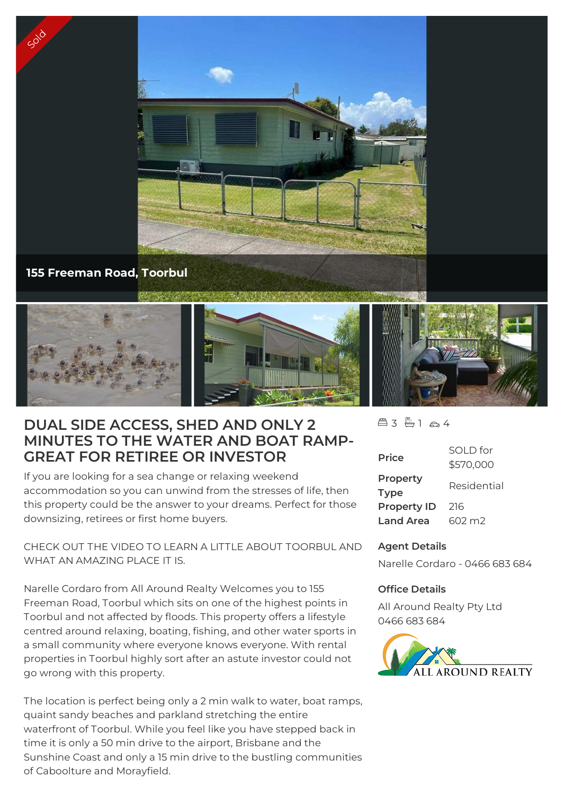

## **155 Freeman Road, Toorbul**

Sold



# **DUAL SIDE ACCESS, SHED AND ONLY 2 MINUTES TO THE WATER AND BOAT RAMP-GREAT FOR RETIREE OR INVESTOR**

If you are looking for a sea change or relaxing weekend accommodation so you can unwind from the stresses of life, then this property could be the answer to your dreams. Perfect for those downsizing, retirees or first home buyers.

CHECK OUT THE VIDEO TO LEARN A LITTLE ABOUT TOORBUL AND WHAT AN AMAZING PLACE IT IS.

Narelle Cordaro from All Around Realty Welcomes you to 155 Freeman Road, Toorbul which sits on one of the highest points in Toorbul and not affected by floods. This property offers a lifestyle centred around relaxing, boating, fishing, and other water sports in a small community where everyone knows everyone. With rental properties in Toorbul highly sort after an astute investor could not go wrong with this property.

The location is perfect being only a 2 min walk to water, boat ramps, quaint sandy beaches and parkland stretching the entire waterfront of Toorbul. While you feel like you have stepped back in time it is only a 50 min drive to the airport, Brisbane and the Sunshine Coast and only a 15 min drive to the bustling communities of Caboolture and Morayfield.

 $43 + 164$ 

| <b>Price</b>            | SOI D for<br>\$570,000 |
|-------------------------|------------------------|
| Property<br><b>Type</b> | Residential            |
| <b>Property ID</b>      | 216                    |
| <b>Land Area</b>        | 602 m <sub>2</sub>     |

### **Agent Details**

Narelle Cordaro - 0466 683 684

#### **Office Details**

All Around Realty Pty Ltd 0466 683 684